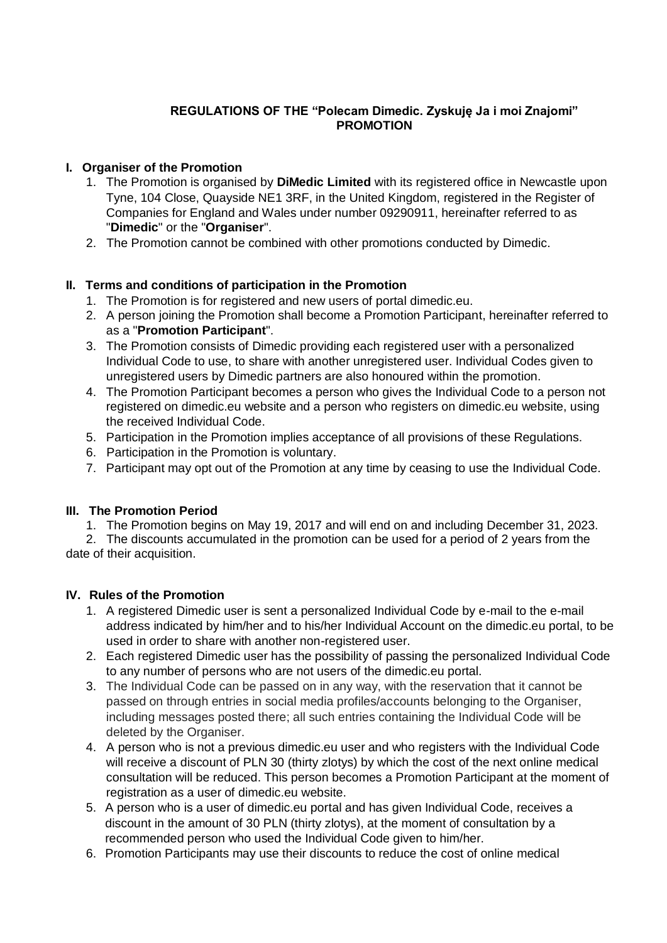### **REGULATIONS OF THE "Polecam Dimedic. Zyskuję Ja i moi Znajomi" PROMOTION**

## **I. Organiser of the Promotion**

- 1. The Promotion is organised by **DiMedic Limited** with its registered office in Newcastle upon Tyne, 104 Close, Quayside NE1 3RF, in the United Kingdom, registered in the Register of Companies for England and Wales under number 09290911, hereinafter referred to as "**Dimedic**" or the "**Organiser**".
- 2. The Promotion cannot be combined with other promotions conducted by Dimedic.

# **II. Terms and conditions of participation in the Promotion**

- 1. The Promotion is for registered and new users of portal dimedic.eu.
- 2. A person joining the Promotion shall become a Promotion Participant, hereinafter referred to as a "**Promotion Participant**".
- 3. The Promotion consists of Dimedic providing each registered user with a personalized Individual Code to use, to share with another unregistered user. Individual Codes given to unregistered users by Dimedic partners are also honoured within the promotion.
- 4. The Promotion Participant becomes a person who gives the Individual Code to a person not registered on dimedic.eu website and a person who registers on dimedic.eu website, using the received Individual Code.
- 5. Participation in the Promotion implies acceptance of all provisions of these Regulations.
- 6. Participation in the Promotion is voluntary.
- 7. Participant may opt out of the Promotion at any time by ceasing to use the Individual Code.

### **III. The Promotion Period**

1. The Promotion begins on May 19, 2017 and will end on and including December 31, 2023.

2. The discounts accumulated in the promotion can be used for a period of 2 years from the date of their acquisition.

### **IV. Rules of the Promotion**

- 1. A registered Dimedic user is sent a personalized Individual Code by e-mail to the e-mail address indicated by him/her and to his/her Individual Account on the dimedic.eu portal, to be used in order to share with another non-registered user.
- 2. Each registered Dimedic user has the possibility of passing the personalized Individual Code to any number of persons who are not users of the dimedic.eu portal.
- 3. The Individual Code can be passed on in any way, with the reservation that it cannot be passed on through entries in social media profiles/accounts belonging to the Organiser, including messages posted there; all such entries containing the Individual Code will be deleted by the Organiser.
- 4. A person who is not a previous dimedic.eu user and who registers with the Individual Code will receive a discount of PLN 30 (thirty zlotys) by which the cost of the next online medical consultation will be reduced. This person becomes a Promotion Participant at the moment of registration as a user of dimedic.eu website.
- 5. A person who is a user of dimedic.eu portal and has given Individual Code, receives a discount in the amount of 30 PLN (thirty zlotys), at the moment of consultation by a recommended person who used the Individual Code given to him/her.
- 6. Promotion Participants may use their discounts to reduce the cost of online medical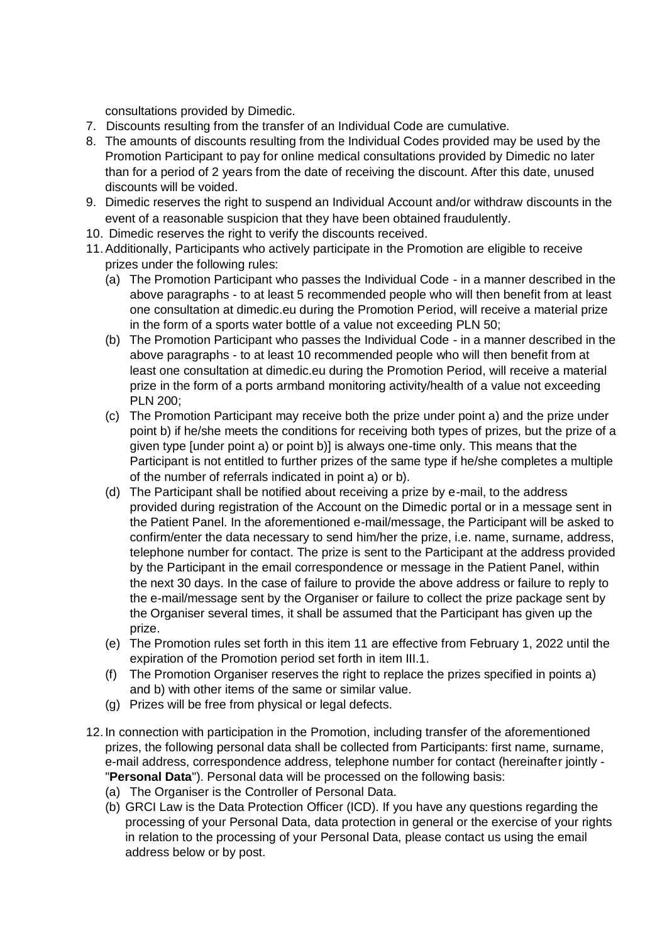consultations provided by Dimedic.

- 7. Discounts resulting from the transfer of an Individual Code are cumulative.
- 8. The amounts of discounts resulting from the Individual Codes provided may be used by the Promotion Participant to pay for online medical consultations provided by Dimedic no later than for a period of 2 years from the date of receiving the discount. After this date, unused discounts will be voided.
- 9. Dimedic reserves the right to suspend an Individual Account and/or withdraw discounts in the event of a reasonable suspicion that they have been obtained fraudulently.
- 10. Dimedic reserves the right to verify the discounts received.
- 11.Additionally, Participants who actively participate in the Promotion are eligible to receive prizes under the following rules:
	- (a) The Promotion Participant who passes the Individual Code in a manner described in the above paragraphs - to at least 5 recommended people who will then benefit from at least one consultation at dimedic.eu during the Promotion Period, will receive a material prize in the form of a sports water bottle of a value not exceeding PLN 50;
	- (b) The Promotion Participant who passes the Individual Code in a manner described in the above paragraphs - to at least 10 recommended people who will then benefit from at least one consultation at dimedic.eu during the Promotion Period, will receive a material prize in the form of a ports armband monitoring activity/health of a value not exceeding PLN 200;
	- (c) The Promotion Participant may receive both the prize under point a) and the prize under point b) if he/she meets the conditions for receiving both types of prizes, but the prize of a given type [under point a) or point b)] is always one-time only. This means that the Participant is not entitled to further prizes of the same type if he/she completes a multiple of the number of referrals indicated in point a) or b).
	- (d) The Participant shall be notified about receiving a prize by e-mail, to the address provided during registration of the Account on the Dimedic portal or in a message sent in the Patient Panel. In the aforementioned e-mail/message, the Participant will be asked to confirm/enter the data necessary to send him/her the prize, i.e. name, surname, address, telephone number for contact. The prize is sent to the Participant at the address provided by the Participant in the email correspondence or message in the Patient Panel, within the next 30 days. In the case of failure to provide the above address or failure to reply to the e-mail/message sent by the Organiser or failure to collect the prize package sent by the Organiser several times, it shall be assumed that the Participant has given up the prize.
	- (e) The Promotion rules set forth in this item 11 are effective from February 1, 2022 until the expiration of the Promotion period set forth in item III.1.
	- (f) The Promotion Organiser reserves the right to replace the prizes specified in points a) and b) with other items of the same or similar value.
	- (g) Prizes will be free from physical or legal defects.
- 12.In connection with participation in the Promotion, including transfer of the aforementioned prizes, the following personal data shall be collected from Participants: first name, surname, e-mail address, correspondence address, telephone number for contact (hereinafter jointly - "**Personal Data**"). Personal data will be processed on the following basis:
	- (a) The Organiser is the Controller of Personal Data.
	- (b) GRCI Law is the Data Protection Officer (ICD). If you have any questions regarding the processing of your Personal Data, data protection in general or the exercise of your rights in relation to the processing of your Personal Data, please contact us using the email address below or by post.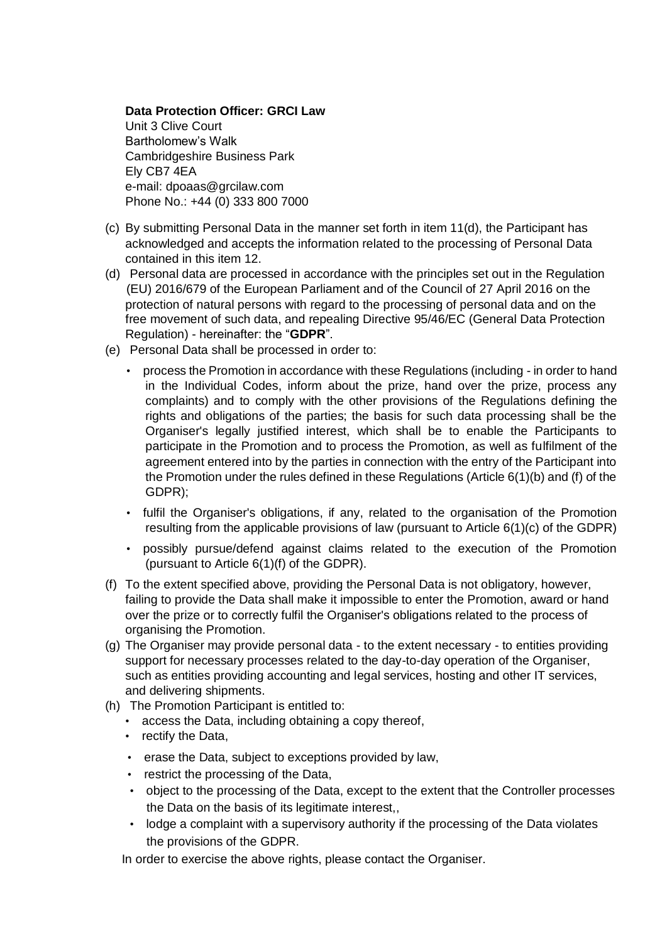### **Data Protection Officer: GRCI Law**

Unit 3 Clive Court Bartholomew's Walk Cambridgeshire Business Park Ely CB7 4EA e-mail: [dpoaas@grcilaw.com](quot;mailto:dpoaas@grcilaw.com") Phone No.: +44 (0) 333 800 7000

- (c) By submitting Personal Data in the manner set forth in item 11(d), the Participant has acknowledged and accepts the information related to the processing of Personal Data contained in this item 12.
- (d) Personal data are processed in accordance with the principles set out in the Regulation (EU) 2016/679 of the European Parliament and of the Council of 27 April 2016 on the protection of natural persons with regard to the processing of personal data and on the free movement of such data, and repealing Directive 95/46/EC (General Data Protection Regulation) - hereinafter: the "**GDPR**".
- (e) Personal Data shall be processed in order to:
	- process the Promotion in accordance with these Regulations (including in order to hand in the Individual Codes, inform about the prize, hand over the prize, process any complaints) and to comply with the other provisions of the Regulations defining the rights and obligations of the parties; the basis for such data processing shall be the Organiser's legally justified interest, which shall be to enable the Participants to participate in the Promotion and to process the Promotion, as well as fulfilment of the agreement entered into by the parties in connection with the entry of the Participant into the Promotion under the rules defined in these Regulations (Article 6(1)(b) and (f) of the GDPR);
	- fulfil the Organiser's obligations, if any, related to the organisation of the Promotion resulting from the applicable provisions of law (pursuant to Article 6(1)(c) of the GDPR)
	- possibly pursue/defend against claims related to the execution of the Promotion (pursuant to Article 6(1)(f) of the GDPR).
- (f) To the extent specified above, providing the Personal Data is not obligatory, however, failing to provide the Data shall make it impossible to enter the Promotion, award or hand over the prize or to correctly fulfil the Organiser's obligations related to the process of organising the Promotion.
- (g) The Organiser may provide personal data to the extent necessary to entities providing support for necessary processes related to the day-to-day operation of the Organiser, such as entities providing accounting and legal services, hosting and other IT services, and delivering shipments.
- (h) The Promotion Participant is entitled to:
	- access the Data, including obtaining a copy thereof,
	- rectify the Data,
	- erase the Data, subject to exceptions provided by law,
	- restrict the processing of the Data,
	- object to the processing of the Data, except to the extent that the Controller processes the Data on the basis of its legitimate interest,,
	- lodge a complaint with a supervisory authority if the processing of the Data violates the provisions of the GDPR.

In order to exercise the above rights, please contact the Organiser.